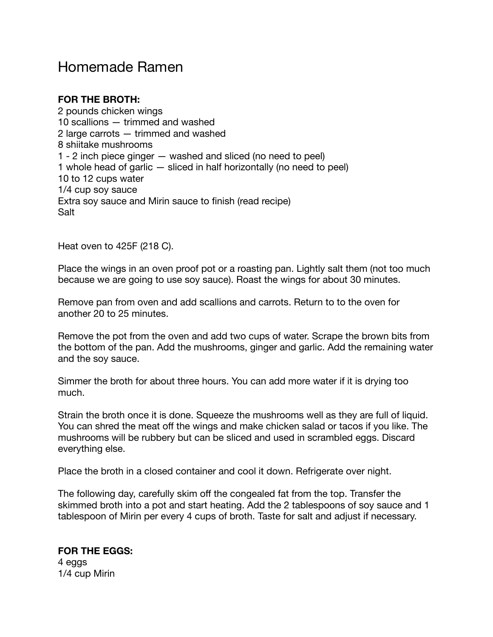# Homemade Ramen

## **FOR THE BROTH:**

2 pounds chicken wings 10 scallions — trimmed and washed 2 large carrots — trimmed and washed 8 shiitake mushrooms 1 - 2 inch piece ginger — washed and sliced (no need to peel) 1 whole head of garlic — sliced in half horizontally (no need to peel) 10 to 12 cups water 1/4 cup soy sauce Extra soy sauce and Mirin sauce to finish (read recipe) Salt

Heat oven to 425F (218 C).

Place the wings in an oven proof pot or a roasting pan. Lightly salt them (not too much because we are going to use soy sauce). Roast the wings for about 30 minutes.

Remove pan from oven and add scallions and carrots. Return to to the oven for another 20 to 25 minutes.

Remove the pot from the oven and add two cups of water. Scrape the brown bits from the bottom of the pan. Add the mushrooms, ginger and garlic. Add the remaining water and the soy sauce.

Simmer the broth for about three hours. You can add more water if it is drying too much.

Strain the broth once it is done. Squeeze the mushrooms well as they are full of liquid. You can shred the meat off the wings and make chicken salad or tacos if you like. The mushrooms will be rubbery but can be sliced and used in scrambled eggs. Discard everything else.

Place the broth in a closed container and cool it down. Refrigerate over night.

The following day, carefully skim off the congealed fat from the top. Transfer the skimmed broth into a pot and start heating. Add the 2 tablespoons of soy sauce and 1 tablespoon of Mirin per every 4 cups of broth. Taste for salt and adjust if necessary.

**FOR THE EGGS:**  4 eggs 1/4 cup Mirin